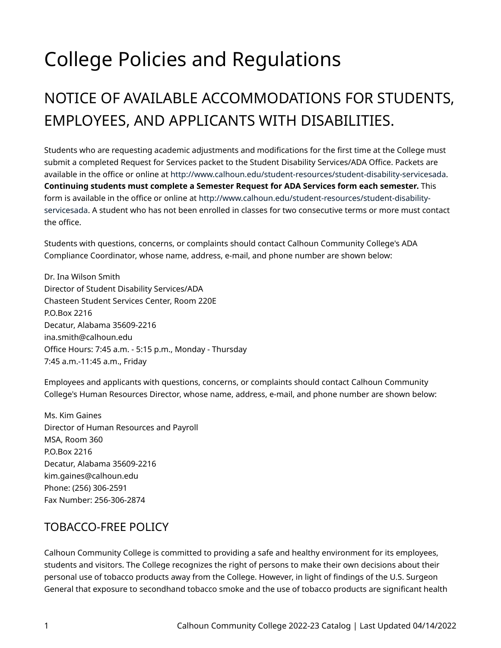# College Policies and Regulations

# NOTICE OF AVAILABLE ACCOMMODATIONS FOR STUDENTS, EMPLOYEES, AND APPLICANTS WITH DISABILITIES.

Students who are requesting academic adjustments and modifications for the first time at the College must submit a completed Request for Services packet to the Student Disability Services/ADA Office. Packets are available in the office or online at<http://www.calhoun.edu/student-resources/student-disability-servicesada>. **Continuing students must complete a Semester Request for ADA Services form each semester.** This form is available in the office or online at [http://www.calhoun.edu/student-resources/student-disability](http://www.calhoun.edu/student-resources/student-disability-servicesada)[servicesada](http://www.calhoun.edu/student-resources/student-disability-servicesada). A student who has not been enrolled in classes for two consecutive terms or more must contact the office.

Students with questions, concerns, or complaints should contact Calhoun Community College's ADA Compliance Coordinator, whose name, address, e-mail, and phone number are shown below:

Dr. Ina Wilson Smith Director of Student Disability Services/ADA Chasteen Student Services Center, Room 220E P.O.Box 2216 Decatur, Alabama 35609-2216 ina.smith@calhoun.edu Office Hours: 7:45 a.m. - 5:15 p.m., Monday - Thursday 7:45 a.m.-11:45 a.m., Friday

Employees and applicants with questions, concerns, or complaints should contact Calhoun Community College's Human Resources Director, whose name, address, e-mail, and phone number are shown below:

Ms. Kim Gaines Director of Human Resources and Payroll MSA, Room 360 P.O.Box 2216 Decatur, Alabama 35609-2216 kim.gaines@calhoun.edu Phone: (256) 306-2591 Fax Number: 256-306-2874

#### TOBACCO-FREE POLICY

Calhoun Community College is committed to providing a safe and healthy environment for its employees, students and visitors. The College recognizes the right of persons to make their own decisions about their personal use of tobacco products away from the College. However, in light of findings of the U.S. Surgeon General that exposure to secondhand tobacco smoke and the use of tobacco products are significant health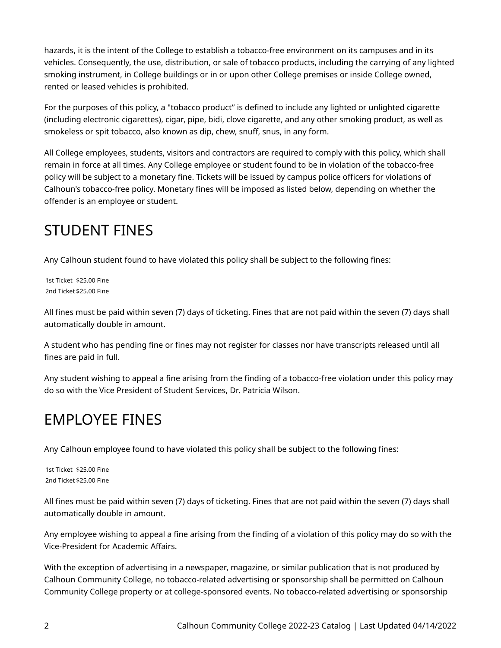hazards, it is the intent of the College to establish a tobacco-free environment on its campuses and in its vehicles. Consequently, the use, distribution, or sale of tobacco products, including the carrying of any lighted smoking instrument, in College buildings or in or upon other College premises or inside College owned, rented or leased vehicles is prohibited.

For the purposes of this policy, a "tobacco product" is defined to include any lighted or unlighted cigarette (including electronic cigarettes), cigar, pipe, bidi, clove cigarette, and any other smoking product, as well as smokeless or spit tobacco, also known as dip, chew, snuff, snus, in any form.

All College employees, students, visitors and contractors are required to comply with this policy, which shall remain in force at all times. Any College employee or student found to be in violation of the tobacco-free policy will be subject to a monetary fine. Tickets will be issued by campus police officers for violations of Calhoun's tobacco-free policy. Monetary fines will be imposed as listed below, depending on whether the offender is an employee or student.

#### STUDENT FINES

Any Calhoun student found to have violated this policy shall be subject to the following fines:

1st Ticket \$25.00 Fine 2nd Ticket \$25.00 Fine

All fines must be paid within seven (7) days of ticketing. Fines that are not paid within the seven (7) days shall automatically double in amount.

A student who has pending fine or fines may not register for classes nor have transcripts released until all fines are paid in full.

Any student wishing to appeal a fine arising from the finding of a tobacco-free violation under this policy may do so with the Vice President of Student Services, Dr. Patricia Wilson.

#### EMPLOYEE FINES

Any Calhoun employee found to have violated this policy shall be subject to the following fines:

1st Ticket \$25.00 Fine 2nd Ticket \$25.00 Fine

All fines must be paid within seven (7) days of ticketing. Fines that are not paid within the seven (7) days shall automatically double in amount.

Any employee wishing to appeal a fine arising from the finding of a violation of this policy may do so with the Vice-President for Academic Affairs.

With the exception of advertising in a newspaper, magazine, or similar publication that is not produced by Calhoun Community College, no tobacco-related advertising or sponsorship shall be permitted on Calhoun Community College property or at college-sponsored events. No tobacco-related advertising or sponsorship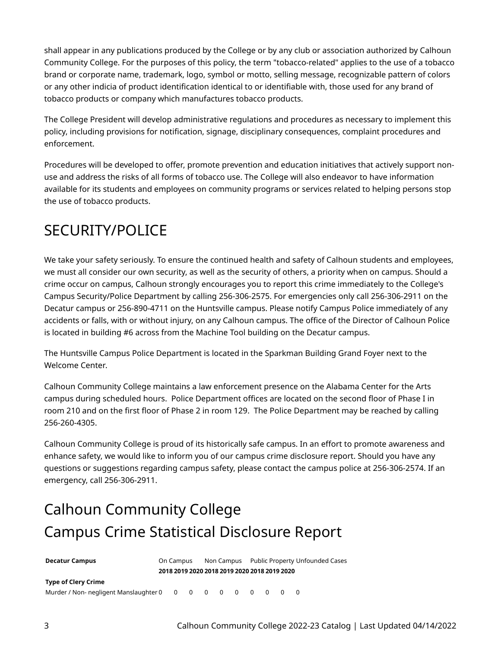shall appear in any publications produced by the College or by any club or association authorized by Calhoun Community College. For the purposes of this policy, the term "tobacco-related" applies to the use of a tobacco brand or corporate name, trademark, logo, symbol or motto, selling message, recognizable pattern of colors or any other indicia of product identification identical to or identifiable with, those used for any brand of tobacco products or company which manufactures tobacco products.

The College President will develop administrative regulations and procedures as necessary to implement this policy, including provisions for notification, signage, disciplinary consequences, complaint procedures and enforcement.

Procedures will be developed to offer, promote prevention and education initiatives that actively support nonuse and address the risks of all forms of tobacco use. The College will also endeavor to have information available for its students and employees on community programs or services related to helping persons stop the use of tobacco products.

#### SECURITY/POLICE

We take your safety seriously. To ensure the continued health and safety of Calhoun students and employees, we must all consider our own security, as well as the security of others, a priority when on campus. Should a crime occur on campus, Calhoun strongly encourages you to report this crime immediately to the College's Campus Security/Police Department by calling 256-306-2575. For emergencies only call 256-306-2911 on the Decatur campus or 256-890-4711 on the Huntsville campus. Please notify Campus Police immediately of any accidents or falls, with or without injury, on any Calhoun campus. The office of the Director of Calhoun Police is located in building #6 across from the Machine Tool building on the Decatur campus.

The Huntsville Campus Police Department is located in the Sparkman Building Grand Foyer next to the Welcome Center.

Calhoun Community College maintains a law enforcement presence on the Alabama Center for the Arts campus during scheduled hours. Police Department offices are located on the second floor of Phase I in room 210 and on the first floor of Phase 2 in room 129. The Police Department may be reached by calling 256-260-4305.

Calhoun Community College is proud of its historically safe campus. In an effort to promote awareness and enhance safety, we would like to inform you of our campus crime disclosure report. Should you have any questions or suggestions regarding campus safety, please contact the campus police at 256-306-2574. If an emergency, call 256-306-2911.

# Calhoun Community College Campus Crime Statistical Disclosure Report

| <b>Decatur Campus</b>      | On Campus                                    |  |  |  |  | Non Campus Public Property Unfounded Cases |  |  |  |  |
|----------------------------|----------------------------------------------|--|--|--|--|--------------------------------------------|--|--|--|--|
|                            | 2018 2019 2020 2018 2019 2020 2018 2019 2020 |  |  |  |  |                                            |  |  |  |  |
| <b>Type of Clery Crime</b> |                                              |  |  |  |  |                                            |  |  |  |  |
|                            |                                              |  |  |  |  |                                            |  |  |  |  |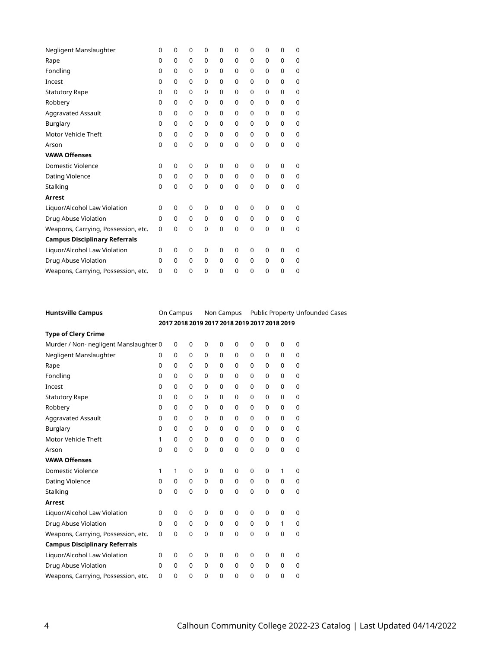| Negligent Manslaughter               | 0        | 0 | 0        | 0 | 0 | 0           | 0           | 0        | 0 | $\Omega$    |
|--------------------------------------|----------|---|----------|---|---|-------------|-------------|----------|---|-------------|
| Rape                                 | 0        | 0 | 0        | 0 | 0 | $\mathbf 0$ | 0           | 0        | 0 | 0           |
| Fondling                             | 0        | 0 | 0        | 0 | 0 | $\mathbf 0$ | 0           | 0        | 0 | $\mathbf 0$ |
| Incest                               | 0        | 0 | 0        | 0 | 0 | 0           | 0           | 0        | 0 | 0           |
| <b>Statutory Rape</b>                | 0        | 0 | 0        | 0 | 0 | $\mathbf 0$ | 0           | 0        | 0 | $\mathbf 0$ |
| Robbery                              | $\Omega$ | 0 | 0        | 0 | 0 | $\mathbf 0$ | 0           | 0        | 0 | $\mathbf 0$ |
| Aggravated Assault                   | 0        | 0 | 0        | 0 | 0 | $\mathbf 0$ | 0           | 0        | 0 | 0           |
| Burglary                             | 0        | 0 | 0        | 0 | 0 | $\mathbf 0$ | 0           | 0        | 0 | 0           |
| Motor Vehicle Theft                  | 0        | 0 | 0        | 0 | 0 | $\mathbf 0$ | 0           | 0        | 0 | 0           |
| Arson                                | 0        | 0 | 0        | 0 | 0 | $\mathbf 0$ | $\mathbf 0$ | 0        | 0 | $\mathbf 0$ |
| <b>VAWA Offenses</b>                 |          |   |          |   |   |             |             |          |   |             |
| Domestic Violence                    | $\Omega$ | 0 | 0        | 0 | 0 | 0           | 0           | 0        | 0 | $\Omega$    |
| Dating Violence                      | $\Omega$ | 0 | $\Omega$ | 0 | 0 | $\mathbf 0$ | $\Omega$    | $\Omega$ | 0 | $\mathbf 0$ |
| Stalking                             | 0        | 0 | 0        | 0 | 0 | $\mathbf 0$ | 0           | 0        | 0 | $\mathbf 0$ |
| <b>Arrest</b>                        |          |   |          |   |   |             |             |          |   |             |
| Liquor/Alcohol Law Violation         | 0        | 0 | 0        | 0 | 0 | 0           | $\Omega$    | 0        | 0 | 0           |
| Drug Abuse Violation                 | 0        | 0 | 0        | 0 | 0 | $\mathbf 0$ | 0           | $\Omega$ | 0 | $\mathbf 0$ |
| Weapons, Carrying, Possession, etc.  | 0        | 0 | 0        | 0 | 0 | $\mathbf 0$ | 0           | 0        | 0 | $\mathbf 0$ |
| <b>Campus Disciplinary Referrals</b> |          |   |          |   |   |             |             |          |   |             |
| Liquor/Alcohol Law Violation         | 0        | 0 | 0        | 0 | 0 | $\mathbf 0$ | 0           | 0        | 0 | $\Omega$    |
| Drug Abuse Violation                 | 0        | 0 | 0        | 0 | 0 | $\mathbf 0$ | 0           | 0        | 0 | 0           |
| Weapons, Carrying, Possession, etc.  | 0        | 0 | 0        | 0 | 0 | $\Omega$    | $\Omega$    | 0        | 0 | 0           |

| <b>Huntsville Campus</b>               | On Campus                                    |             | Non Campus  |             | Public Property Unfounded Cases |              |             |             |             |             |
|----------------------------------------|----------------------------------------------|-------------|-------------|-------------|---------------------------------|--------------|-------------|-------------|-------------|-------------|
|                                        | 2017 2018 2019 2017 2018 2019 2017 2018 2019 |             |             |             |                                 |              |             |             |             |             |
| <b>Type of Clery Crime</b>             |                                              |             |             |             |                                 |              |             |             |             |             |
| Murder / Non- negligent Manslaughter 0 |                                              | 0           | $\mathbf 0$ | $\mathbf 0$ | $\mathbf 0$                     | $\mathbf 0$  | $\mathbf 0$ | $\mathbf 0$ | $\mathbf 0$ | $\mathbf 0$ |
| Negligent Manslaughter                 | $\Omega$                                     | $\mathbf 0$ | $\mathbf 0$ | $\mathbf 0$ | 0                               | 0            | $\Omega$    | $\mathbf 0$ | $\mathbf 0$ | $\mathbf 0$ |
| Rape                                   | $\Omega$                                     | $\Omega$    | $\Omega$    | $\Omega$    | $\Omega$                        | $\Omega$     | $\Omega$    | $\mathbf 0$ | $\mathbf 0$ | $\mathbf 0$ |
| Fondling                               | 0                                            | $\mathbf 0$ | $\mathbf 0$ | $\mathbf 0$ | $\Omega$                        | $\Omega$     | $\Omega$    | $\mathbf 0$ | $\mathbf 0$ | 0           |
| Incest                                 | 0                                            | $\mathbf 0$ | $\mathbf 0$ | $\mathbf 0$ | $\Omega$                        | $\Omega$     | $\Omega$    | $\mathbf 0$ | $\mathbf 0$ | $\mathbf 0$ |
| <b>Statutory Rape</b>                  | 0                                            | $\mathbf 0$ | $\mathbf 0$ | $\mathbf 0$ | $\Omega$                        | $\Omega$     | $\Omega$    | $\mathbf 0$ | $\mathbf 0$ | $\mathbf 0$ |
| Robbery                                | $\mathbf 0$                                  | $\mathbf 0$ | $\mathbf 0$ | $\mathbf 0$ | $\mathbf 0$                     | $\mathbf 0$  | $\mathbf 0$ | $\mathbf 0$ | $\mathbf 0$ | $\mathbf 0$ |
| Aggravated Assault                     | $\mathbf 0$                                  | $\mathbf 0$ | $\Omega$    | $\Omega$    | $\Omega$                        | $\Omega$     | $\Omega$    | $\mathbf 0$ | $\mathbf 0$ | $\mathbf 0$ |
| Burglary                               | $\mathbf 0$                                  | $\mathbf 0$ | $\mathbf 0$ | $\mathbf 0$ | $\mathbf 0$                     | $\Omega$     | $\Omega$    | $\mathbf 0$ | $\mathbf 0$ | 0           |
| Motor Vehicle Theft                    | 1                                            | 0           | $\Omega$    | $\mathbf 0$ | $\Omega$                        | $\Omega$     | $\Omega$    | $\Omega$    | $\Omega$    | $\mathbf 0$ |
| Arson                                  | 0                                            | $\mathbf 0$ | $\mathbf 0$ | $\mathbf 0$ | $\mathbf 0$                     | $\mathbf 0$  | $\mathbf 0$ | $\mathbf 0$ | $\mathbf 0$ | $\mathbf 0$ |
| <b>VAWA Offenses</b>                   |                                              |             |             |             |                                 |              |             |             |             |             |
| <b>Domestic Violence</b>               | 1                                            | 1           | $\mathbf 0$ | $\mathbf 0$ | $\mathbf 0$                     | $\mathbf 0$  | $\mathbf 0$ | $\mathbf 0$ | 1           | $\mathbf 0$ |
| Dating Violence                        | $\mathbf 0$                                  | $\mathbf 0$ | $\mathbf 0$ | $\mathbf 0$ | $\mathbf 0$                     | 0            | $\mathbf 0$ | $\mathbf 0$ | 0           | $\mathbf 0$ |
| Stalking                               | $\mathbf 0$                                  | $\mathbf 0$ | $\mathbf 0$ | $\mathbf 0$ | $\Omega$                        | $\mathbf 0$  | $\Omega$    | $\mathbf 0$ | $\mathbf 0$ | $\mathbf 0$ |
| Arrest                                 |                                              |             |             |             |                                 |              |             |             |             |             |
| Liquor/Alcohol Law Violation           | 0                                            | $\mathbf 0$ | $\mathbf 0$ | $\mathbf 0$ | $\mathbf 0$                     | $\mathbf 0$  | $\mathbf 0$ | $\mathbf 0$ | $\mathbf 0$ | $\mathbf 0$ |
| Drug Abuse Violation                   | $\Omega$                                     | $\mathbf 0$ | $\mathbf 0$ | $\mathbf 0$ | $\mathbf 0$                     | $\mathbf 0$  | $\mathbf 0$ | $\mathbf 0$ | 1           | $\mathbf 0$ |
| Weapons, Carrying, Possession, etc.    | $\mathbf 0$                                  | $\mathbf 0$ | $\mathbf 0$ | $\mathbf 0$ | $\mathbf{0}$                    | $\mathbf{0}$ | $\Omega$    | $\mathbf 0$ | $\mathbf 0$ | $\mathbf 0$ |
| <b>Campus Disciplinary Referrals</b>   |                                              |             |             |             |                                 |              |             |             |             |             |
| Liquor/Alcohol Law Violation           | 0                                            | 0           | $\mathbf 0$ | $\mathbf 0$ | $\mathbf 0$                     | $\mathbf 0$  | $\mathbf 0$ | $\mathbf 0$ | $\mathbf 0$ | $\mathbf 0$ |
| Drug Abuse Violation                   | $\mathbf 0$                                  | 0           | 0           | 0           | $\mathbf 0$                     | 0            | $\mathbf 0$ | 0           | 0           | 0           |
| Weapons, Carrying, Possession, etc.    | $\mathbf 0$                                  | $\mathbf 0$ | 0           | $\mathbf 0$ | $\mathbf 0$                     | $\mathbf 0$  | $\mathbf 0$ | $\mathbf 0$ | $\mathbf 0$ | $\mathbf 0$ |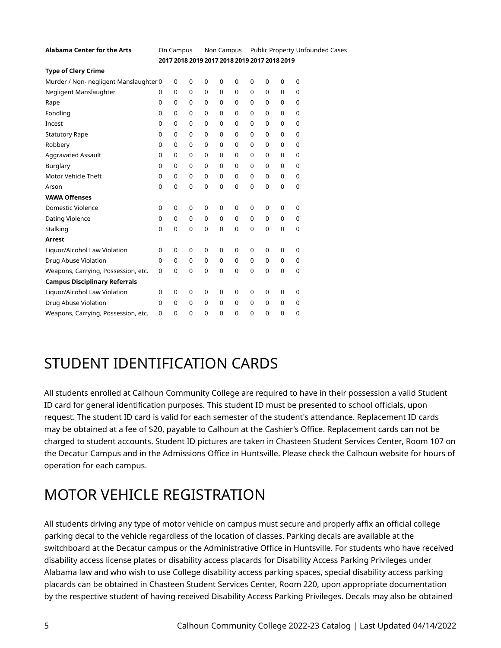| <b>Alabama Center for the Arts</b>     |                                              | On Campus   |             |             | Non Campus  |             |          | Public Property Unfounded Cases |             |             |  |
|----------------------------------------|----------------------------------------------|-------------|-------------|-------------|-------------|-------------|----------|---------------------------------|-------------|-------------|--|
|                                        | 2017 2018 2019 2017 2018 2019 2017 2018 2019 |             |             |             |             |             |          |                                 |             |             |  |
| <b>Type of Clery Crime</b>             |                                              |             |             |             |             |             |          |                                 |             |             |  |
| Murder / Non- negligent Manslaughter 0 |                                              | 0           | 0           | 0           | 0           | 0           | 0        | 0                               | $\mathbf 0$ | $\mathbf 0$ |  |
| Negligent Manslaughter                 | 0                                            | $\mathbf 0$ | 0           | $\mathbf 0$ | $\mathbf 0$ | 0           | 0        | 0                               | $\mathbf 0$ | $\mathbf 0$ |  |
| Rape                                   | $\mathbf 0$                                  | 0           | $\mathbf 0$ | $\mathbf 0$ | $\mathbf 0$ | 0           | 0        | 0                               | 0           | $\mathbf 0$ |  |
| Fondling                               | $\mathbf 0$                                  | $\mathbf 0$ | 0           | $\mathbf 0$ | $\mathbf 0$ | 0           | 0        | 0                               | $\mathbf 0$ | $\mathbf 0$ |  |
| Incest                                 | $\mathbf 0$                                  | 0           | $\Omega$    | $\Omega$    | $\Omega$    | $\Omega$    | 0        | 0                               | 0           | $\mathbf 0$ |  |
| <b>Statutory Rape</b>                  | $\mathbf 0$                                  | $\mathbf 0$ | 0           | $\mathbf 0$ | 0           | $\Omega$    | 0        | 0                               | 0           | $\mathbf 0$ |  |
| Robbery                                | $\mathbf 0$                                  | 0           | 0           | 0           | 0           | 0           | 0        | 0                               | 0           | 0           |  |
| Aggravated Assault                     | 0                                            | $\mathbf 0$ | 0           | $\mathbf 0$ | $\mathbf 0$ | $\Omega$    | $\Omega$ | 0                               | 0           | $\mathbf 0$ |  |
| Burglary                               | 0                                            | $\mathbf 0$ | 0           | $\mathbf 0$ | $\Omega$    | 0           | 0        | $\Omega$                        | 0           | $\Omega$    |  |
| Motor Vehicle Theft                    | 0                                            | $\mathbf 0$ | 0           | $\mathbf 0$ | $\Omega$    | $\Omega$    | $\Omega$ | $\Omega$                        | 0           | $\mathbf 0$ |  |
| Arson                                  | 0                                            | $\mathbf 0$ | $\mathbf 0$ | $\mathbf 0$ | $\mathbf 0$ | $\Omega$    | $\Omega$ | $\Omega$                        | 0           | $\mathbf 0$ |  |
| <b>VAWA Offenses</b>                   |                                              |             |             |             |             |             |          |                                 |             |             |  |
| <b>Domestic Violence</b>               | 0                                            | 0           | 0           | 0           | $\mathbf 0$ | 0           | 0        | 0                               | $\mathbf 0$ | $\mathbf 0$ |  |
| Dating Violence                        | $\mathbf 0$                                  | $\mathbf 0$ | 0           | $\mathbf 0$ | $\mathbf 0$ | 0           | 0        | 0                               | 0           | $\mathbf 0$ |  |
| Stalking                               | 0                                            | 0           | 0           | 0           | $\mathbf 0$ | $\mathbf 0$ | 0        | 0                               | 0           | 0           |  |
| Arrest                                 |                                              |             |             |             |             |             |          |                                 |             |             |  |
| Liquor/Alcohol Law Violation           | 0                                            | 0           | 0           | $\mathbf 0$ | $\mathbf 0$ | 0           | 0        | 0                               | 0           | $\mathbf 0$ |  |
| Drug Abuse Violation                   | 0                                            | $\mathbf 0$ | 0           | $\mathbf 0$ | $\mathbf 0$ | 0           | $\Omega$ | 0                               | $\mathbf 0$ | $\mathbf 0$ |  |
| Weapons, Carrying, Possession, etc.    | $\mathbf 0$                                  | $\mathbf 0$ | $\mathbf 0$ | $\mathbf 0$ | $\mathbf 0$ | $\mathbf 0$ | 0        | $\mathbf 0$                     | 0           | $\mathbf 0$ |  |
| <b>Campus Disciplinary Referrals</b>   |                                              |             |             |             |             |             |          |                                 |             |             |  |
| Liquor/Alcohol Law Violation           | $\mathbf 0$                                  | $\mathbf 0$ | 0           | $\mathbf 0$ | $\mathbf 0$ | 0           | 0        | 0                               | 0           | $\mathbf 0$ |  |
| Drug Abuse Violation                   | $\mathbf 0$                                  | $\mathbf 0$ | 0           | $\mathbf 0$ | 0           | 0           | 0        | 0                               | 0           | $\mathbf 0$ |  |
| Weapons, Carrying, Possession, etc.    | 0                                            | 0           | 0           | 0           | 0           | 0           | 0        | 0                               | 0           | 0           |  |

#### STUDENT IDENTIFICATION CARDS

All students enrolled at Calhoun Community College are required to have in their possession a valid Student ID card for general identification purposes. This student ID must be presented to school officials, upon request. The student ID card is valid for each semester of the student's attendance. Replacement ID cards may be obtained at a fee of \$20, payable to Calhoun at the Cashier's Office. Replacement cards can not be charged to student accounts. Student ID pictures are taken in Chasteen Student Services Center, Room 107 on the Decatur Campus and in the Admissions Office in Huntsville. Please check the Calhoun website for hours of operation for each campus.

### MOTOR VEHICLE REGISTRATION

All students driving any type of motor vehicle on campus must secure and properly affix an official college parking decal to the vehicle regardless of the location of classes. Parking decals are available at the switchboard at the Decatur campus or the Administrative Office in Huntsville. For students who have received disability access license plates or disability access placards for Disability Access Parking Privileges under Alabama law and who wish to use College disability access parking spaces, special disability access parking placards can be obtained in Chasteen Student Services Center, Room 220, upon appropriate documentation by the respective student of having received Disability Access Parking Privileges. Decals may also be obtained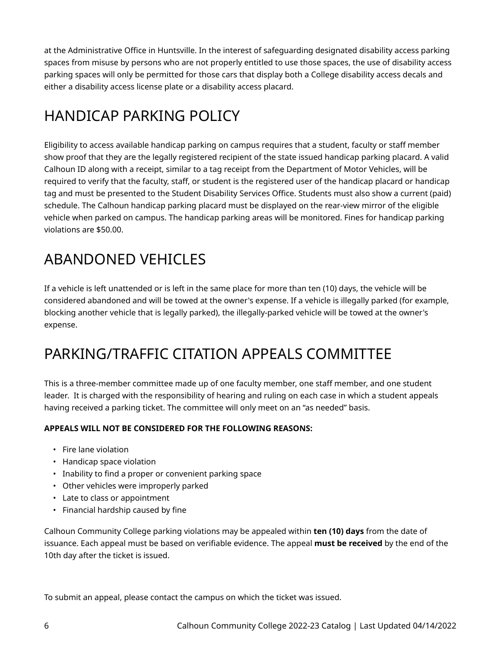at the Administrative Office in Huntsville. In the interest of safeguarding designated disability access parking spaces from misuse by persons who are not properly entitled to use those spaces, the use of disability access parking spaces will only be permitted for those cars that display both a College disability access decals and either a disability access license plate or a disability access placard.

### HANDICAP PARKING POLICY

Eligibility to access available handicap parking on campus requires that a student, faculty or staff member show proof that they are the legally registered recipient of the state issued handicap parking placard. A valid Calhoun ID along with a receipt, similar to a tag receipt from the Department of Motor Vehicles, will be required to verify that the faculty, staff, or student is the registered user of the handicap placard or handicap tag and must be presented to the Student Disability Services Office. Students must also show a current (paid) schedule. The Calhoun handicap parking placard must be displayed on the rear-view mirror of the eligible vehicle when parked on campus. The handicap parking areas will be monitored. Fines for handicap parking violations are \$50.00.

## ABANDONED VEHICLES

If a vehicle is left unattended or is left in the same place for more than ten (10) days, the vehicle will be considered abandoned and will be towed at the owner's expense. If a vehicle is illegally parked (for example, blocking another vehicle that is legally parked), the illegally-parked vehicle will be towed at the owner's expense.

#### PARKING/TRAFFIC CITATION APPEALS COMMITTEE

This is a three-member committee made up of one faculty member, one staff member, and one student leader. It is charged with the responsibility of hearing and ruling on each case in which a student appeals having received a parking ticket. The committee will only meet on an "as needed" basis.

#### **APPEALS WILL NOT BE CONSIDERED FOR THE FOLLOWING REASONS:**

- Fire lane violation
- Handicap space violation
- Inability to find a proper or convenient parking space
- Other vehicles were improperly parked
- Late to class or appointment
- Financial hardship caused by fine

Calhoun Community College parking violations may be appealed within **ten (10) days** from the date of issuance. Each appeal must be based on verifiable evidence. The appeal **must be received** by the end of the 10th day after the ticket is issued.

To submit an appeal, please contact the campus on which the ticket was issued.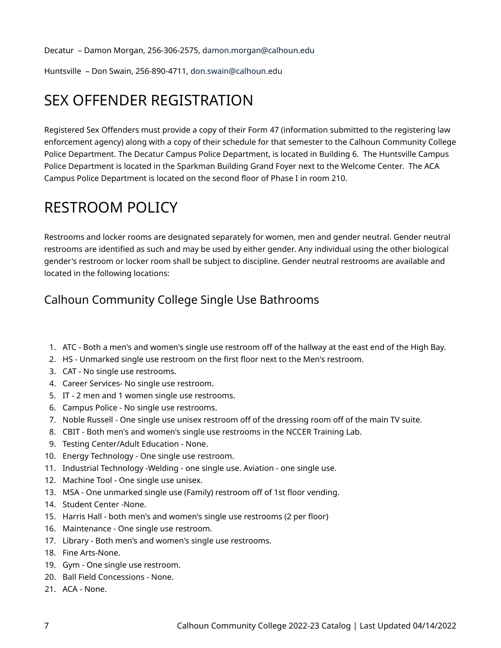Decatur – Damon Morgan, 256-306-2575, [damon.morgan@calhoun.edu](mailto:damon.morgan@calhoun.edu) 

Huntsville – Don Swain, 256-890-4711, [don.swain@calhoun.edu](mailto:don.swain@calhoun.edu)

#### SEX OFFENDER REGISTRATION

Registered Sex Offenders must provide a copy of their Form 47 (information submitted to the registering law enforcement agency) along with a copy of their schedule for that semester to the Calhoun Community College Police Department. The Decatur Campus Police Department, is located in Building 6. The Huntsville Campus Police Department is located in the Sparkman Building Grand Foyer next to the Welcome Center. The ACA Campus Police Department is located on the second floor of Phase I in room 210.

#### RESTROOM POLICY

Restrooms and locker rooms are designated separately for women, men and gender neutral. Gender neutral restrooms are identified as such and may be used by either gender. Any individual using the other biological gender's restroom or locker room shall be subject to discipline. Gender neutral restrooms are available and located in the following locations:

#### Calhoun Community College Single Use Bathrooms

- 1. ATC Both a men's and women's single use restroom off of the hallway at the east end of the High Bay.
- 2. HS Unmarked single use restroom on the first floor next to the Men's restroom.
- 3. CAT No single use restrooms.
- 4. Career Services- No single use restroom.
- 5. IT 2 men and 1 women single use restrooms.
- 6. Campus Police No single use restrooms.
- 7. Noble Russell One single use unisex restroom off of the dressing room off of the main TV suite.
- 8. CBIT Both men's and women's single use restrooms in the NCCER Training Lab.
- 9. Testing Center/Adult Education None.
- 10. Energy Technology One single use restroom.
- 11. Industrial Technology -Welding one single use. Aviation one single use.
- 12. Machine Tool One single use unisex.
- 13. MSA One unmarked single use (Family) restroom off of 1st floor vending.
- 14. Student Center -None.
- 15. Harris Hall both men's and women's single use restrooms (2 per floor)
- 16. Maintenance One single use restroom.
- 17. Library Both men's and women's single use restrooms.
- 18. Fine Arts-None.
- 19. Gym One single use restroom.
- 20. Ball Field Concessions None.
- 21. ACA None.